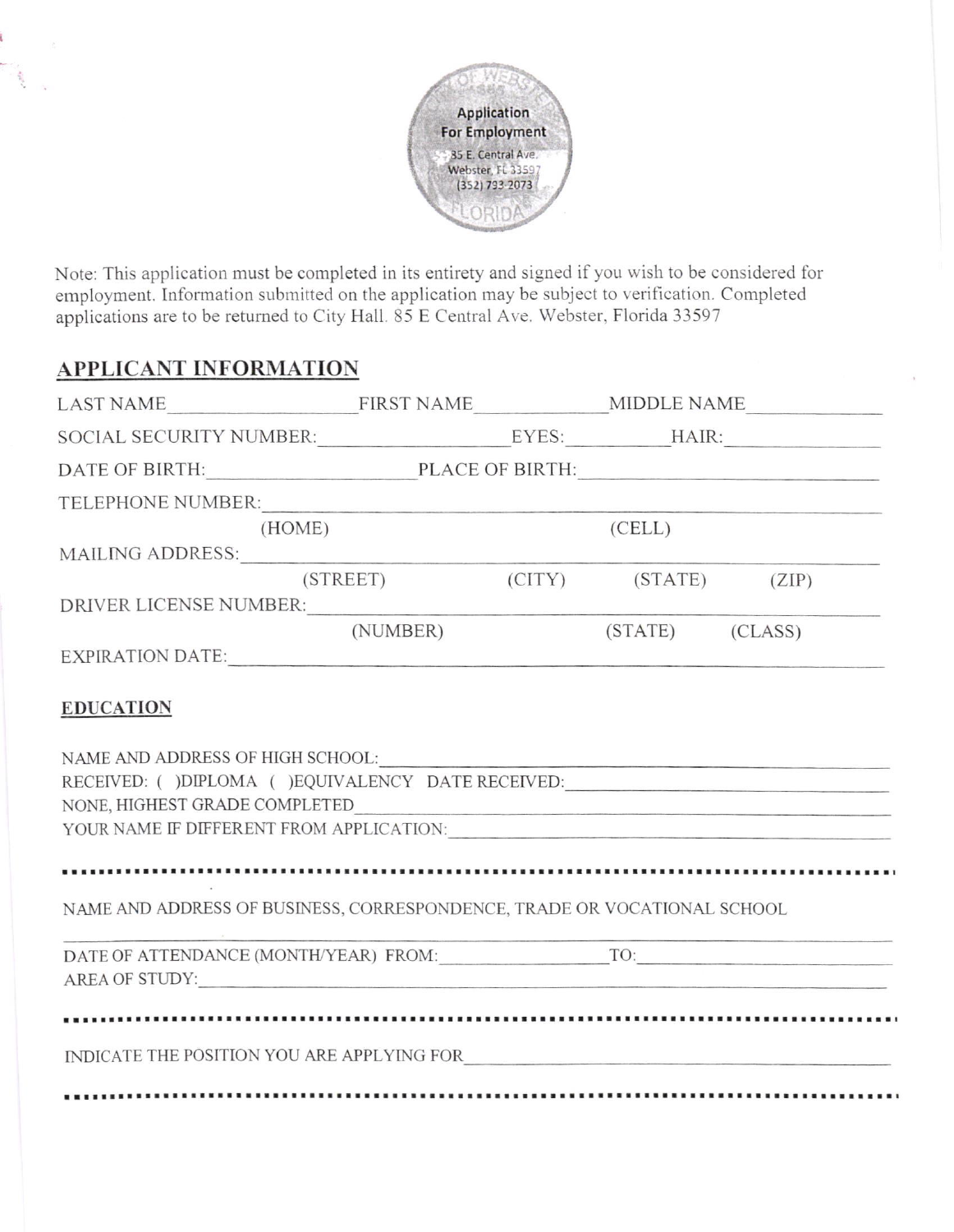

Note: This application must be completed in its entirety and signed if you wish to be considered for employment. Information submitted on the application may be subject to verification. Completed applications are to be returned to City Hall. 85 E Central Ave. Webster, Florida 33597

## APPLICANT INFORMATION

|                                                                                                                                                                                                         | TELEPHONE NUMBER:                                       |  |        |  |  |  |  |
|---------------------------------------------------------------------------------------------------------------------------------------------------------------------------------------------------------|---------------------------------------------------------|--|--------|--|--|--|--|
|                                                                                                                                                                                                         | (HOME)                                                  |  | (CELL) |  |  |  |  |
|                                                                                                                                                                                                         |                                                         |  |        |  |  |  |  |
|                                                                                                                                                                                                         | (STREET) (CITY) (STATE) (ZIP)<br>DRIVER LICENSE NUMBER: |  |        |  |  |  |  |
|                                                                                                                                                                                                         | (NUMBER) (STATE) (CLASS)                                |  |        |  |  |  |  |
|                                                                                                                                                                                                         | EXPIRATION DATE:                                        |  |        |  |  |  |  |
| NAME AND ADDRESS OF HIGH SCHOOL:<br>RECEIVED: ( )DIPLOMA ( )EQUIVALENCY DATE RECEIVED:<br>NONE, HIGHEST GRADE COMPLETED<br>YOUR NAME IF DIFFERENT FROM APPLICATION: NAME IF DIFFERENT FROM APPLICATION: |                                                         |  |        |  |  |  |  |
| NAME AND ADDRESS OF BUSINESS, CORRESPONDENCE, TRADE OR VOCATIONAL SCHOOL                                                                                                                                |                                                         |  |        |  |  |  |  |
|                                                                                                                                                                                                         | AREA OF STUDY:                                          |  |        |  |  |  |  |
|                                                                                                                                                                                                         |                                                         |  |        |  |  |  |  |
| INDICATE THE POSITION YOU ARE APPLYING FOR                                                                                                                                                              |                                                         |  |        |  |  |  |  |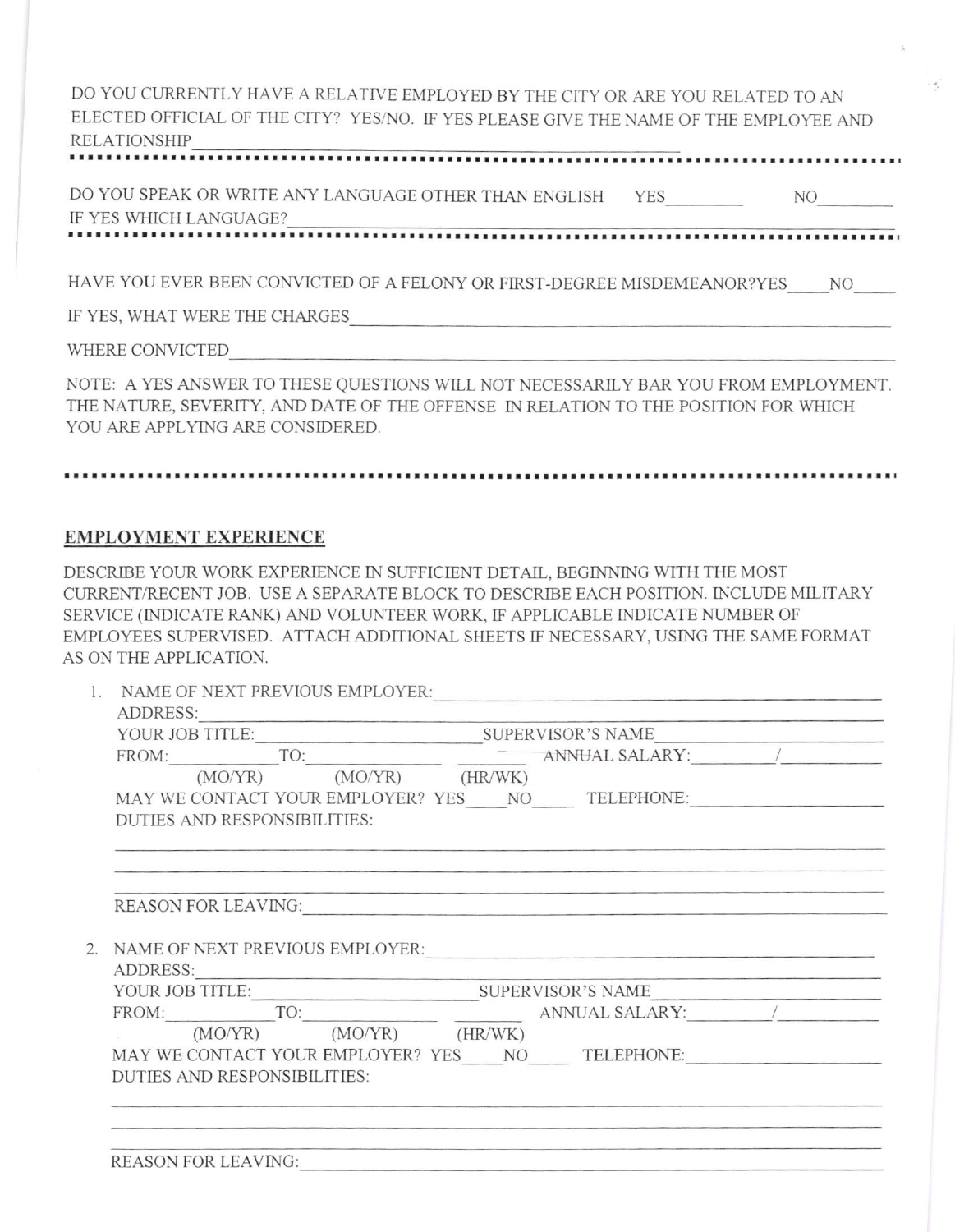DO YOU CURRENTLY HAVE A RELATIVE EMPLOYED BY THE CITY OR ARE YOU RELATED TO AN ELECTED OFFICIAL OF THE CITY? YES/NO. IF YES PLEASE GIVE THE NAME OF THE EMPLOYEE AND RELATIONSHIP

 $\rightarrow \infty$ 

DO YOU SPEAK OR WRITE ANY LANGUAGE OTHER THAN ENGLISH YES NO IF YES WH]CH LANGUAGE?

HAVE YOU EVER BEEN CONVICTED OF A FELONY OR FIRST-DEGREE MISDEMEANOR?YES NO

IF YES, WHAT WERE THE CHARGES

WHERE CONVICTED

NOTE: A YES ANSWER TO THESE QUESTIONS WILL NOT NECESSARILY BAR YOU FROM EMPLOYMENT. THE NATURE, SEVERITY, AND DATE OF THE OFFENSE IN RELATION TO THE POSITION FOR WHICH YOU ARE APPLYING ARE CONSIDERED.

## 

## EMPLOYMENT EXPERIENCE

DESCRIBE YOUR WORK EXPERIENCE IN SUFFICIENT DETAIL, BEGINNING WITH THE MOST CURRENT/RECENT JOB. USE A SEPARATE BLOCK TO DESCRIBE EACH POSITION. INCLUDE MILITARY SERVICE (INDICATE RANK) AND VOLUNTEER WORK, IF APPLICABLE INDICATE NUMBER OF EMPLO\'EES SUPERVISED. ATTACH ADDITIONAL SHEETS tr NECESSARY, USING THE SAME FORMAT AS ON THE APPLICATION.

| 1. NAME OF NEXT PREVIOUS EMPLOYER:                                                                                                                                                                                                                                                                                                                                 |  |  |  |  |  |
|--------------------------------------------------------------------------------------------------------------------------------------------------------------------------------------------------------------------------------------------------------------------------------------------------------------------------------------------------------------------|--|--|--|--|--|
|                                                                                                                                                                                                                                                                                                                                                                    |  |  |  |  |  |
| $\begin{tabular}{l c c} \multicolumn{2}{c}{ADDRESS:}\quad \quad & \multicolumn{2}{c}{\text{SUPERVISOR's NAME}}\\ \hline \text{FOUR JOB TITLE:}\quad & \multicolumn{2}{c}{\text{SUPERVISOR's NAME}}\\ \hline \text{FROM:}\quad & \text{TO:}\quad & \text{AMNUAL SALARY:}\quad \\ \hline \text{(MO/YR)} \quad & \text{(MO/YR)} \quad & \text{(HR/WK)} \end{tabular}$ |  |  |  |  |  |
|                                                                                                                                                                                                                                                                                                                                                                    |  |  |  |  |  |
| MAY WE CONTACT YOUR EMPLOYER? YES NO TELEPHONE:                                                                                                                                                                                                                                                                                                                    |  |  |  |  |  |
| <b>DUTIES AND RESPONSIBILITIES:</b>                                                                                                                                                                                                                                                                                                                                |  |  |  |  |  |
|                                                                                                                                                                                                                                                                                                                                                                    |  |  |  |  |  |
| REASON FOR LEAVING: NAMEL AND REASON FOR LEAVING:                                                                                                                                                                                                                                                                                                                  |  |  |  |  |  |
| 2. NAME OF NEXT PREVIOUS EMPLOYER:                                                                                                                                                                                                                                                                                                                                 |  |  |  |  |  |
|                                                                                                                                                                                                                                                                                                                                                                    |  |  |  |  |  |
|                                                                                                                                                                                                                                                                                                                                                                    |  |  |  |  |  |
|                                                                                                                                                                                                                                                                                                                                                                    |  |  |  |  |  |
| $(MO/YR)$ $(MO/YR)$ $(HR/WK)$                                                                                                                                                                                                                                                                                                                                      |  |  |  |  |  |
| MAY WE CONTACT YOUR EMPLOYER? YES NO TELEPHONE:                                                                                                                                                                                                                                                                                                                    |  |  |  |  |  |
| <b>DUTIES AND RESPONSIBILITIES:</b>                                                                                                                                                                                                                                                                                                                                |  |  |  |  |  |
|                                                                                                                                                                                                                                                                                                                                                                    |  |  |  |  |  |
|                                                                                                                                                                                                                                                                                                                                                                    |  |  |  |  |  |
| <b>REASON FOR LEAVING:</b>                                                                                                                                                                                                                                                                                                                                         |  |  |  |  |  |